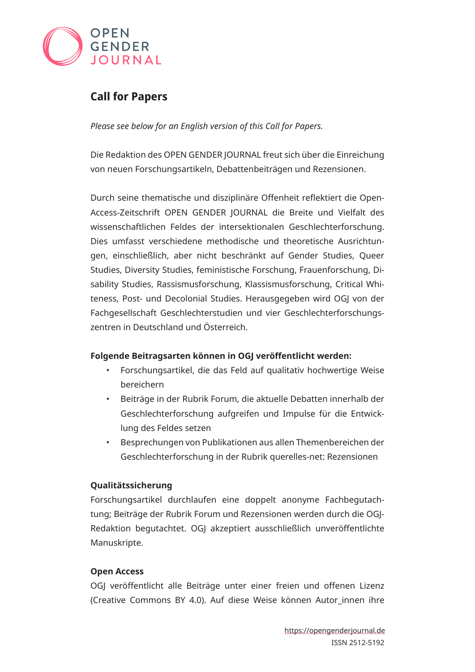

# **Call for Papers**

*Please see below for an English version of this Call for Papers.*

Die Redaktion des OPEN GENDER JOURNAL freut sich über die Einreichung von neuen Forschungsartikeln, Debattenbeiträgen und Rezensionen.

Durch seine thematische und disziplinäre Offenheit reflektiert die Open-Access-Zeitschrift OPEN GENDER JOURNAL die Breite und Vielfalt des wissenschaftlichen Feldes der intersektionalen Geschlechterforschung. Dies umfasst verschiedene methodische und theoretische Ausrichtungen, einschließlich, aber nicht beschränkt auf Gender Studies, Queer Studies, Diversity Studies, feministische Forschung, Frauenforschung, Disability Studies, Rassismusforschung, Klassismusforschung, Critical Whiteness, Post- und Decolonial Studies. Herausgegeben wird OGJ von der Fachgesellschaft Geschlechterstudien und vier Geschlechterforschungszentren in Deutschland und Österreich.

## **Folgende Beitragsarten können in OGJ veröffentlicht werden:**

- Forschungsartikel, die das Feld auf qualitativ hochwertige Weise bereichern
- Beiträge in der Rubrik Forum, die aktuelle Debatten innerhalb der Geschlechterforschung aufgreifen und Impulse für die Entwicklung des Feldes setzen
- Besprechungen von Publikationen aus allen Themenbereichen der Geschlechterforschung in der Rubrik querelles-net: Rezensionen

## **Qualitätssicherung**

Forschungsartikel durchlaufen eine doppelt anonyme Fachbegutachtung; Beiträge der Rubrik Forum und Rezensionen werden durch die OGJ-Redaktion begutachtet. OGJ akzeptiert ausschließlich unveröffentlichte Manuskripte.

## **Open Access**

OGJ veröffentlicht alle Beiträge unter einer freien und offenen Lizenz (Creative Commons BY 4.0). Auf diese Weise können Autor innen ihre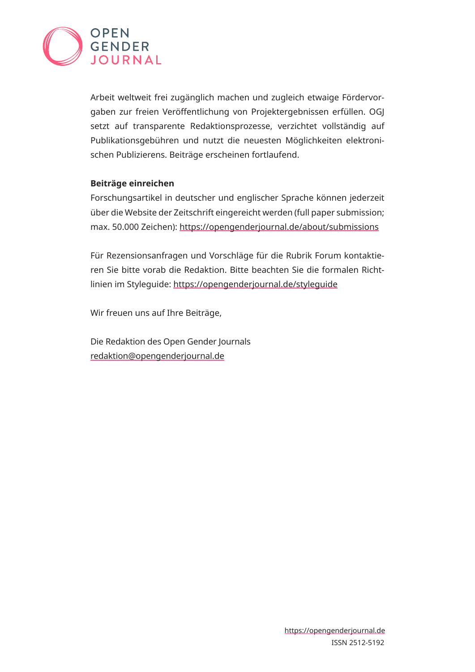

Arbeit weltweit frei zugänglich machen und zugleich etwaige Fördervorgaben zur freien Veröffentlichung von Projektergebnissen erfüllen. OGJ setzt auf transparente Redaktionsprozesse, verzichtet vollständig auf Publikationsgebühren und nutzt die neuesten Möglichkeiten elektronischen Publizierens. Beiträge erscheinen fortlaufend.

#### **Beiträge einreichen**

Forschungsartikel in deutscher und englischer Sprache können jederzeit über die Website der Zeitschrift eingereicht werden (full paper submission; max. 50.000 Zeichen): [https://opengenderjournal.de/about/submissions](mailto:https://opengenderjournal.de/about/submissions?subject=)

Für Rezensionsanfragen und Vorschläge für die Rubrik Forum kontaktieren Sie bitte vorab die Redaktion. Bitte beachten Sie die formalen Richtlinien im Styleguide:<https://opengenderjournal.de/styleguide>

Wir freuen uns auf Ihre Beiträge,

Die Redaktion des Open Gender Journals [redaktion@opengenderjournal.de](mailto:redaktion%40opengenderjournal.de?subject=)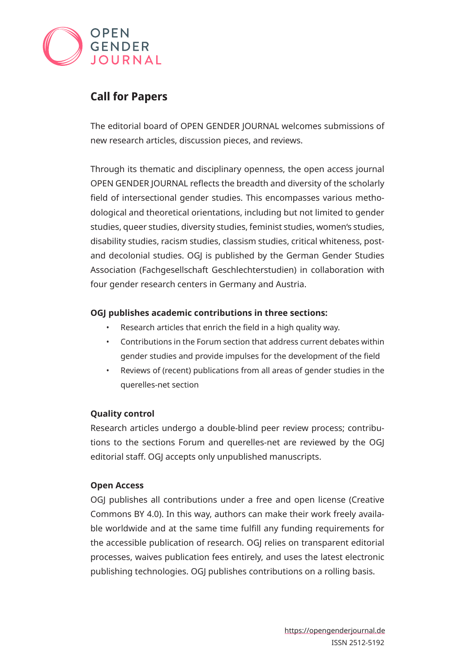

## **Call for Papers**

The editorial board of OPEN GENDER JOURNAL welcomes submissions of new research articles, discussion pieces, and reviews.

Through its thematic and disciplinary openness, the open access journal OPEN GENDER JOURNAL reflects the breadth and diversity of the scholarly field of intersectional gender studies. This encompasses various methodological and theoretical orientations, including but not limited to gender studies, queer studies, diversity studies, feminist studies, women's studies, disability studies, racism studies, classism studies, critical whiteness, postand decolonial studies. OGJ is published by the German Gender Studies Association (Fachgesellschaft Geschlechterstudien) in collaboration with four gender research centers in Germany and Austria.

## **OGJ publishes academic contributions in three sections:**

- Research articles that enrich the field in a high quality way.
- Contributions in the Forum section that address current debates within gender studies and provide impulses for the development of the field
- Reviews of (recent) publications from all areas of gender studies in the querelles-net section

## **Quality control**

Research articles undergo a double-blind peer review process; contributions to the sections Forum and querelles-net are reviewed by the OGJ editorial staff. OGJ accepts only unpublished manuscripts.

#### **Open Access**

OGJ publishes all contributions under a free and open license (Creative Commons BY 4.0). In this way, authors can make their work freely available worldwide and at the same time fulfill any funding requirements for the accessible publication of research. OGJ relies on transparent editorial processes, waives publication fees entirely, and uses the latest electronic publishing technologies. OGJ publishes contributions on a rolling basis.